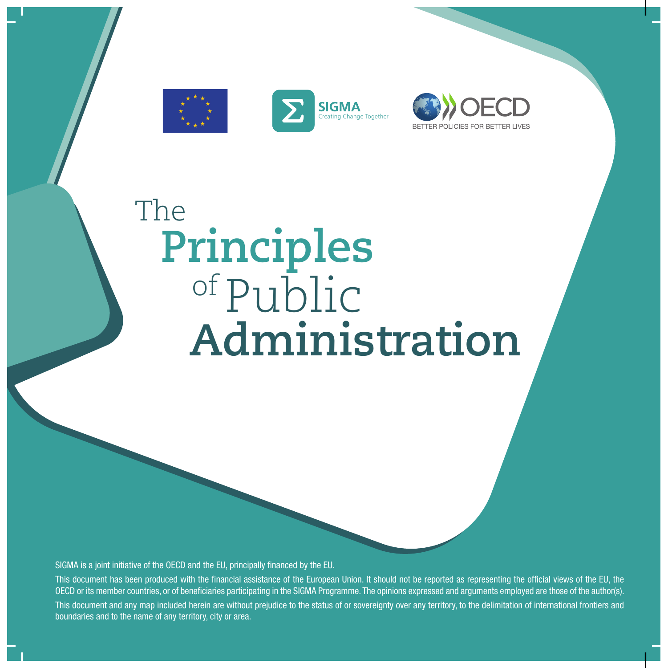





# **Administration** The **Principles** of Public

SIGMA is a joint initiative of the OECD and the EU, principally financed by the EU.

This document has been produced with the financial assistance of the European Union. It should not be reported as representing the official views of the EU, the OECD or its member countries, or of beneficiaries participating in the SIGMA Programme. The opinions expressed and arguments employed are those of the author(s). This document and any map included herein are without prejudice to the status of or sovereignty over any territory, to the delimitation of international frontiers and boundaries and to the name of any territory, city or area.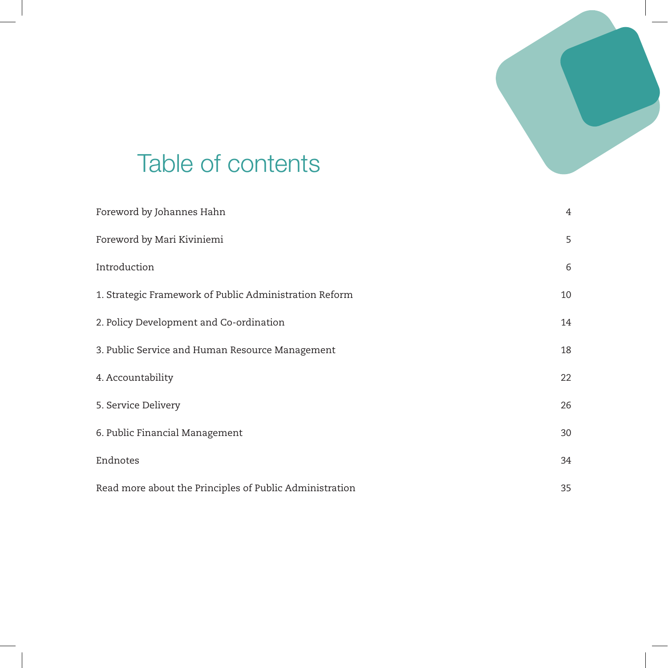

# Table of contents

| Foreword by Johannes Hahn                               | 4  |
|---------------------------------------------------------|----|
| Foreword by Mari Kiviniemi                              | 5  |
| Introduction                                            | 6  |
| 1. Strategic Framework of Public Administration Reform  | 10 |
| 2. Policy Development and Co-ordination                 | 14 |
| 3. Public Service and Human Resource Management         | 18 |
| 4. Accountability                                       | 22 |
| 5. Service Delivery                                     | 26 |
| 6. Public Financial Management                          | 30 |
| Endnotes                                                | 34 |
| Read more about the Principles of Public Administration | 35 |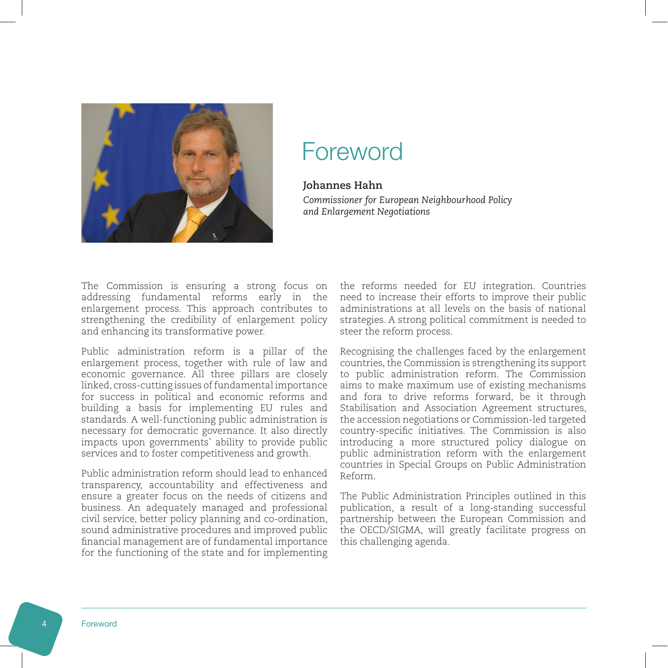<span id="page-2-0"></span>

## Foreword

#### **Johannes Hahn**

*Commissioner for European Neighbourhood Policy and Enlargement Negotiations*

The Commission is ensuring a strong focus on addressing fundamental reforms early in the enlargement process. This approach contributes to strengthening the credibility of enlargement policy and enhancing its transformative power.

Public administration reform is a pillar of the enlargement process, together with rule of law and economic governance. All three pillars are closely linked, cross-cutting issues of fundamental importance for success in political and economic reforms and building a basis for implementing EU rules and standards. A well-functioning public administration is necessary for democratic governance. It also directly impacts upon governments' ability to provide public services and to foster competitiveness and growth.

Public administration reform should lead to enhanced transparency, accountability and effectiveness and ensure a greater focus on the needs of citizens and business. An adequately managed and professional civil service, better policy planning and co-ordination, sound administrative procedures and improved public financial management are of fundamental importance for the functioning of the state and for implementing

the reforms needed for EU integration. Countries need to increase their efforts to improve their public administrations at all levels on the basis of national strategies. A strong political commitment is needed to steer the reform process.

Recognising the challenges faced by the enlargement countries, the Commission is strengthening its support to public administration reform. The Commission aims to make maximum use of existing mechanisms and fora to drive reforms forward, be it through Stabilisation and Association Agreement structures, the accession negotiations or Commission-led targeted country-specific initiatives. The Commission is also introducing a more structured policy dialogue on public administration reform with the enlargement countries in Special Groups on Public Administration Reform.

The Public Administration Principles outlined in this publication, a result of a long-standing successful partnership between the European Commission and the OECD/SIGMA, will greatly facilitate progress on this challenging agenda.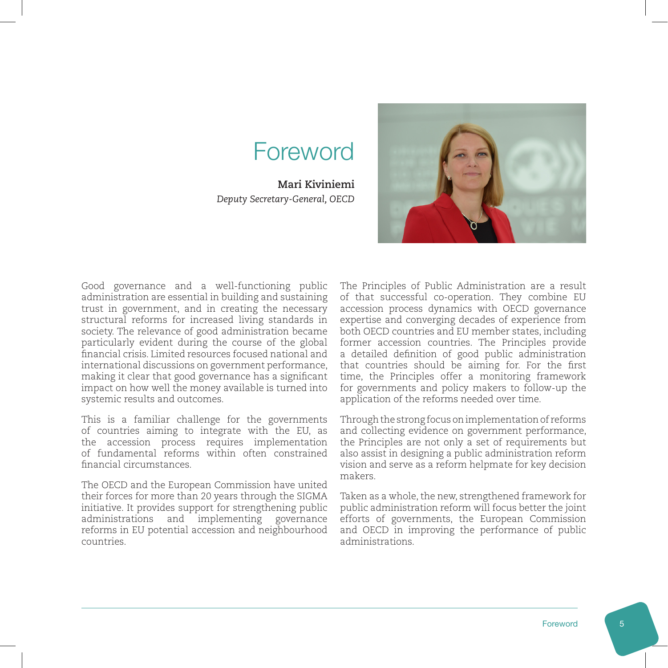# Foreword

<span id="page-3-0"></span>**Mari Kiviniemi** *Deputy Secretary-General, OECD*

Good governance and a well-functioning public administration are essential in building and sustaining trust in government, and in creating the necessary structural reforms for increased living standards in society. The relevance of good administration became particularly evident during the course of the global financial crisis. Limited resources focused national and international discussions on government performance, making it clear that good governance has a significant impact on how well the money available is turned into systemic results and outcomes.

This is a familiar challenge for the governments of countries aiming to integrate with the EU, as the accession process requires implementation of fundamental reforms within often constrained financial circumstances.

The OECD and the European Commission have united their forces for more than 20 years through the SIGMA initiative. It provides support for strengthening public administrations and implementing governance reforms in EU potential accession and neighbourhood countries.

The Principles of Public Administration are a result of that successful co-operation. They combine EU accession process dynamics with OECD governance expertise and converging decades of experience from both OECD countries and EU member states, including former accession countries. The Principles provide a detailed definition of good public administration that countries should be aiming for. For the first time, the Principles offer a monitoring framework for governments and policy makers to follow-up the application of the reforms needed over time.

Through the strong focus on implementation of reforms and collecting evidence on government performance, the Principles are not only a set of requirements but also assist in designing a public administration reform vision and serve as a reform helpmate for key decision makers.

Taken as a whole, the new, strengthened framework for public administration reform will focus better the joint efforts of governments, the European Commission and OECD in improving the performance of public administrations.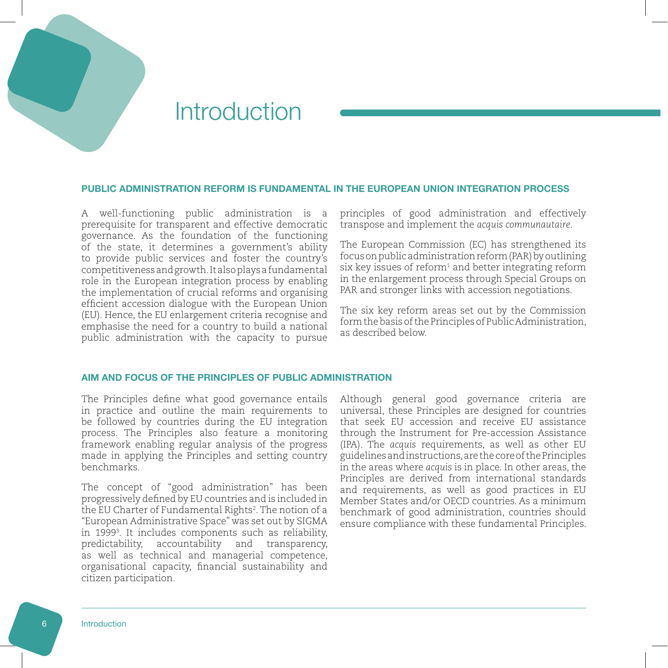### <span id="page-4-0"></span>Introduction

#### PUBLIC ADMINISTRATION REFORM IS FUNDAMENTAL IN THE EUROPEAN UNION INTEGRATION PROCESS

A well-functioning public administration is a prerequisite for transparent and effective democratic governance. As the foundation of the functioning of the state, it determines a government's ability to provide public services and foster the country's competitiveness and growth. It also plays a fundamental role in the European integration process by enabling the implementation of crucial reforms and organising efficient accession dialogue with the European Union (EU). Hence, the EU enlargement criteria recognise and emphasise the need for a country to build a national public administration with the capacity to pursue

principles of good administration and effectively transpose and implement the *acquis communautaire*.

The European Commission (EC) has strengthened its focus on public administration reform (PAR) by outlining  $\sin$  key issues of reform $^1$  and better integrating reform in the enlargement process through Special Groups on PAR and stronger links with accession negotiations.

The six key reform areas set out by the Commission form the basis of the Principles of Public Administration, as described below.

#### AIM AND FOCUS OF THE PRINCIPLES OF PUBLIC ADMINISTRATION

The Principles define what good governance entails in practice and outline the main requirements to be followed by countries during the EU integration process. The Principles also feature a monitoring framework enabling regular analysis of the progress made in applying the Principles and setting country benchmarks.

The concept of "good administration" has been progressively defined by EU countries and is included in the EU Charter of Fundamental Rights<sup>2</sup>. The notion of a "European Administrative Space" was set out by SIGMA in 19993 . It includes components such as reliability, predictability, accountability and transparency, as well as technical and managerial competence, organisational capacity, financial sustainability and citizen participation.

Although general good governance criteria are universal, these Principles are designed for countries that seek EU accession and receive EU assistance through the Instrument for Pre-accession Assistance (IPA). The *acquis* requirements, as well as other EU guidelines and instructions, are the core of the Principles in the areas where *acquis* is in place. In other areas, the Principles are derived from international standards and requirements, as well as good practices in EU Member States and/or OECD countries. As a minimum benchmark of good administration, countries should ensure compliance with these fundamental Principles.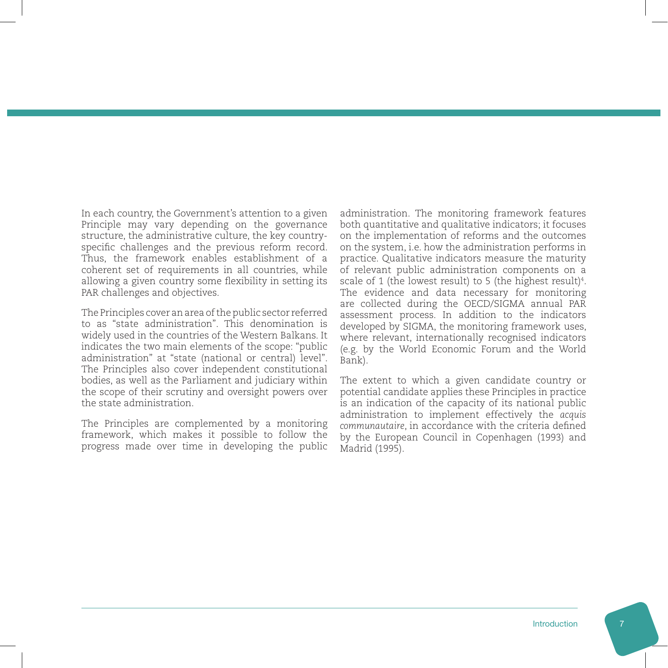In each country, the Government's attention to a given Principle may vary depending on the governance structure, the administrative culture, the key countryspecific challenges and the previous reform record. Thus, the framework enables establishment of a coherent set of requirements in all countries, while allowing a given country some flexibility in setting its PAR challenges and objectives.

The Principles cover an area of the public sector referred to as "state administration". This denomination is widely used in the countries of the Western Balkans. It indicates the two main elements of the scope: "public administration" at "state (national or central) level". The Principles also cover independent constitutional bodies, as well as the Parliament and judiciary within the scope of their scrutiny and oversight powers over the state administration.

The Principles are complemented by a monitoring framework, which makes it possible to follow the progress made over time in developing the public administration. The monitoring framework features both quantitative and qualitative indicators; it focuses on the implementation of reforms and the outcomes on the system, i.e. how the administration performs in practice. Qualitative indicators measure the maturity of relevant public administration components on a scale of 1 (the lowest result) to 5 (the highest result) $4$ . The evidence and data necessary for monitoring are collected during the OECD/SIGMA annual PAR assessment process. In addition to the indicators developed by SIGMA, the monitoring framework uses, where relevant, internationally recognised indicators (e.g. by the World Economic Forum and the World Bank).

The extent to which a given candidate country or potential candidate applies these Principles in practice is an indication of the capacity of its national public administration to implement effectively the *acquis communautaire*, in accordance with the criteria defined by the European Council in Copenhagen (1993) and Madrid (1995).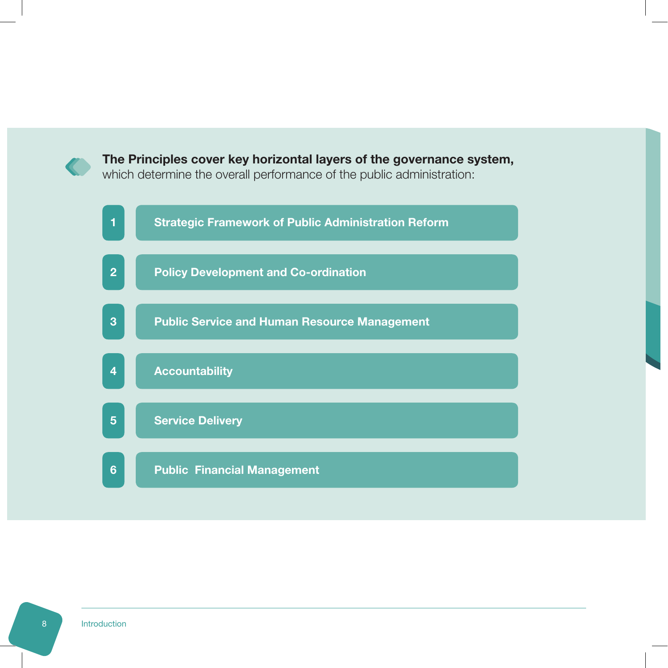

#### The Principles cover key horizontal layers of the governance system,

which determine the overall performance of the public administration:

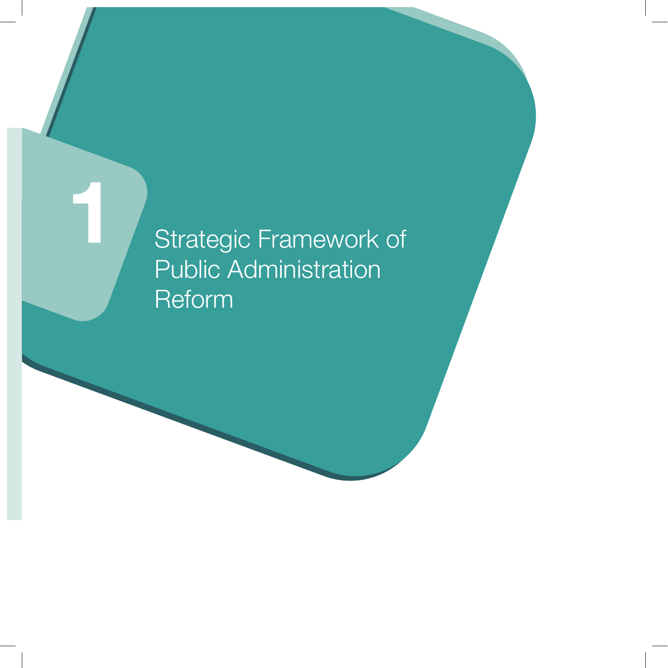Strategic Framework of Public Administration Reform

1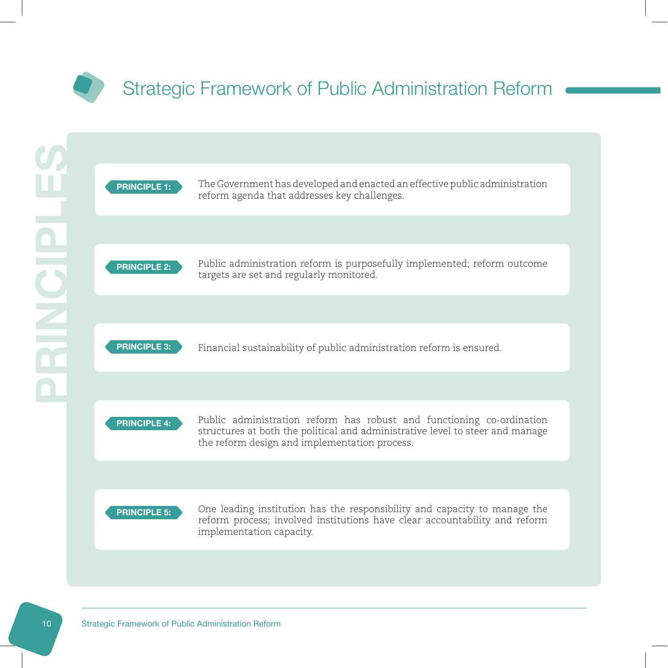<span id="page-8-0"></span>

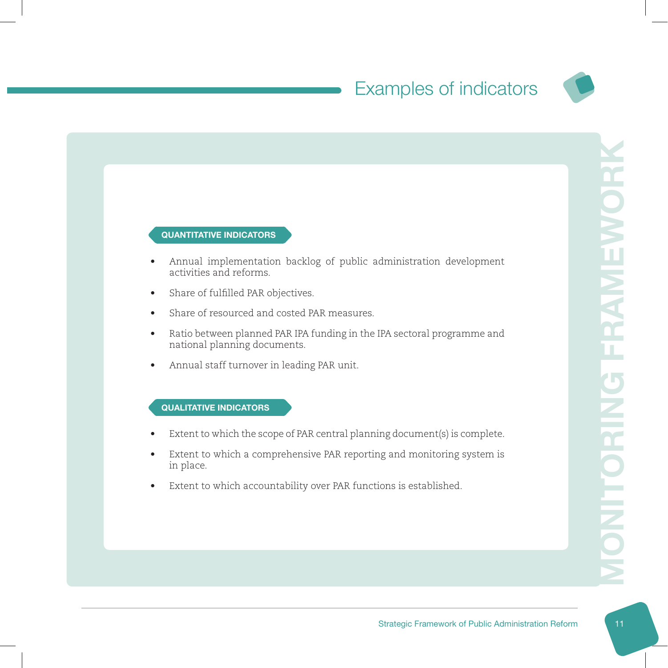

#### QUANTITATIVE INDICATORS

- Annual implementation backlog of public administration development activities and reforms.
- Share of fulfilled PAR objectives.
- Share of resourced and costed PAR measures.
- Ratio between planned PAR IPA funding in the IPA sectoral programme and national planning documents.
- Annual staff turnover in leading PAR unit.

- Extent to which the scope of PAR central planning document(s) is complete.
- Extent to which a comprehensive PAR reporting and monitoring system is in place.
- Extent to which accountability over PAR functions is established.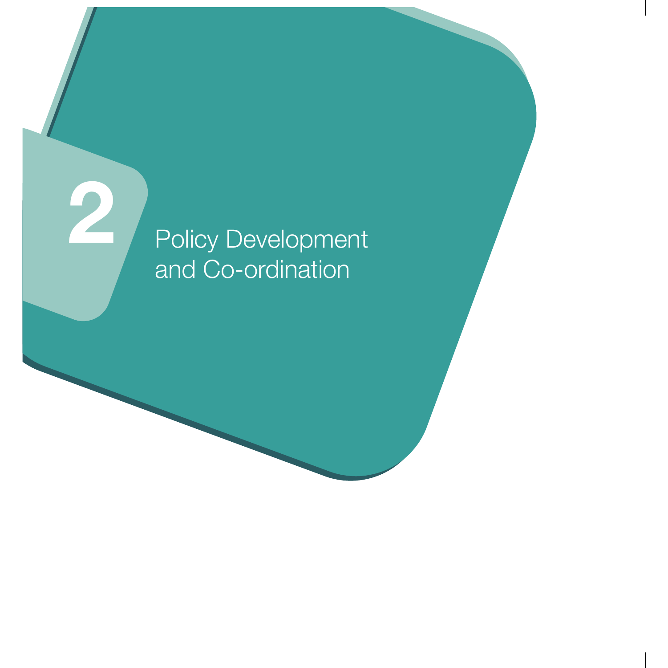# Policy Development and Co-ordination

2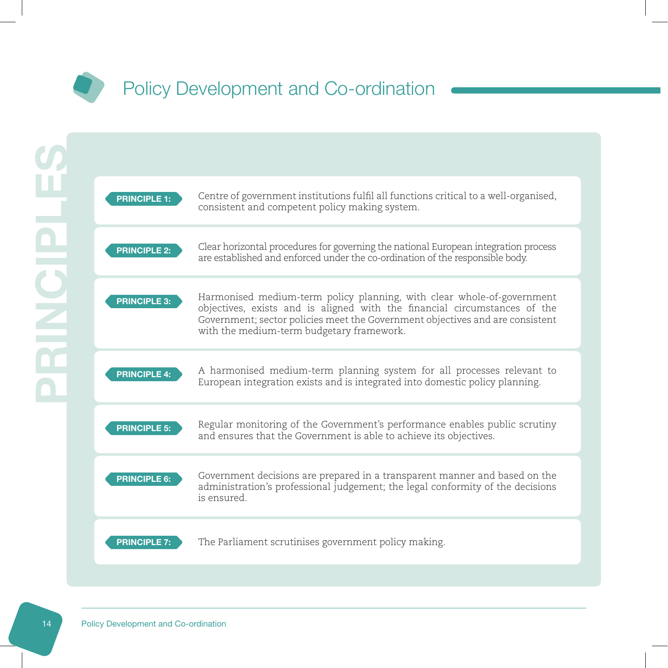<span id="page-11-0"></span>

| <b>PRINCIPLE 1:</b> | Centre of government institutions fulfil all functions critical to a well-organised,<br>consistent and competent policy making system.                                                                                                                                            |
|---------------------|-----------------------------------------------------------------------------------------------------------------------------------------------------------------------------------------------------------------------------------------------------------------------------------|
| <b>PRINCIPLE 2:</b> | Clear horizontal procedures for governing the national European integration process<br>are established and enforced under the co-ordination of the responsible body.                                                                                                              |
| <b>PRINCIPLE 3:</b> | Harmonised medium-term policy planning, with clear whole-of-government<br>objectives, exists and is aligned with the financial circumstances of the<br>Government; sector policies meet the Government objectives and are consistent<br>with the medium-term budgetary framework. |
| <b>PRINCIPLE 4:</b> | A harmonised medium-term planning system for all processes relevant to<br>European integration exists and is integrated into domestic policy planning.                                                                                                                            |
| <b>PRINCIPLE 5:</b> | Regular monitoring of the Government's performance enables public scrutiny<br>and ensures that the Government is able to achieve its objectives.                                                                                                                                  |
| <b>PRINCIPLE 6:</b> | Government decisions are prepared in a transparent manner and based on the<br>administration's professional judgement; the legal conformity of the decisions<br>is ensured                                                                                                        |
| <b>PRINCIPLE 7:</b> | The Parliament scrutinises government policy making.                                                                                                                                                                                                                              |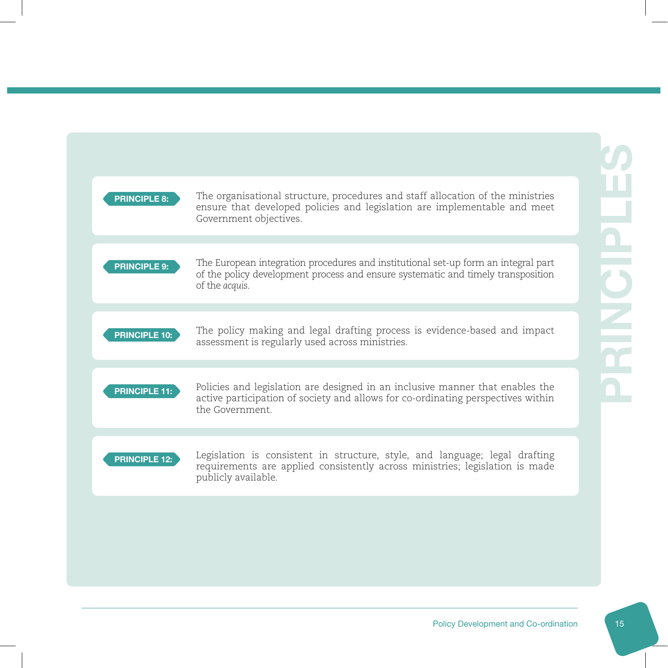| <b>PRINCIPLE 8:</b>  | The organisational structure, procedures and staff allocation of the ministries<br>ensure that developed policies and legislation are implementable and meet<br>Government objectives.   |
|----------------------|------------------------------------------------------------------------------------------------------------------------------------------------------------------------------------------|
| <b>PRINCIPLE 9:</b>  | The European integration procedures and institutional set-up form an integral part<br>of the policy development process and ensure systematic and timely transposition<br>of the acquis. |
| <b>PRINCIPLE 10:</b> | The policy making and legal drafting process is evidence-based and impact<br>assessment is regularly used across ministries.                                                             |
| <b>PRINCIPLE 11:</b> | Policies and legislation are designed in an inclusive manner that enables the<br>active participation of society and allows for co-ordinating perspectives within<br>the Government      |
| <b>PRINCIPLE 12:</b> | Legislation is consistent in structure, style, and language; legal drafting<br>requirements are applied consistently across ministries; legislation is made<br>publicly available.       |
|                      |                                                                                                                                                                                          |
|                      |                                                                                                                                                                                          |
|                      |                                                                                                                                                                                          |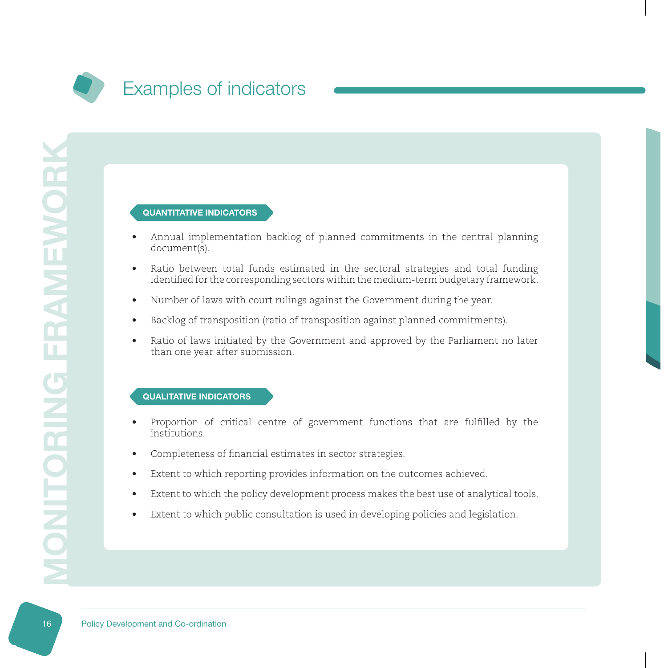

#### QUANTITATIVE INDICATORS

- Annual implementation backlog of planned commitments in the central planning document(s).
- Ratio between total funds estimated in the sectoral strategies and total funding identified for the corresponding sectors within the medium-term budgetary framework.
- Number of laws with court rulings against the Government during the year.
- Backlog of transposition (ratio of transposition against planned commitments).
- Ratio of laws initiated by the Government and approved by the Parliament no later than one year after submission.

- Proportion of critical centre of government functions that are fulfilled by the institutions.
- Completeness of financial estimates in sector strategies.
- Extent to which reporting provides information on the outcomes achieved.
- Extent to which the policy development process makes the best use of analytical tools.
- Extent to which public consultation is used in developing policies and legislation.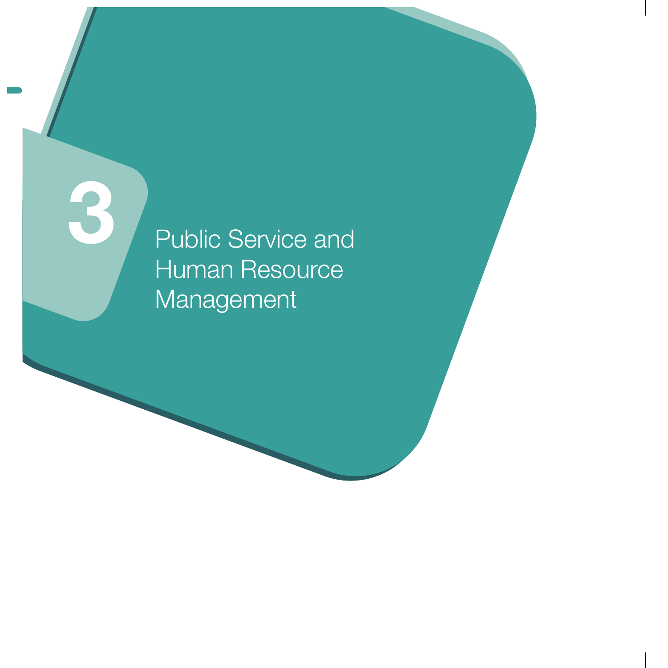Public Service and Human Resource Management

3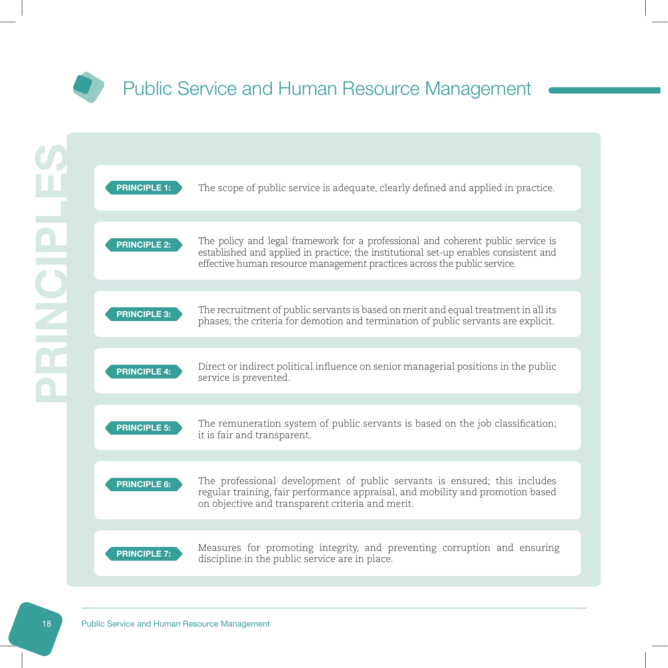<span id="page-15-0"></span>



The remuneration system of public servants is based on the job classification; **PRINCIPLE 5:** The remuneration system<br>it is fair and transparent.

PRINCIPLE 6:

The professional development of public servants is ensured; this includes regular training, fair performance appraisal, and mobility and promotion based on objective and transparent criteria and merit.



Measures for promoting integrity, and preventing corruption and ensuring **PRINCIPLE 7:** Measures for promoting integrity, and p.<br>discipline in the public service are in place.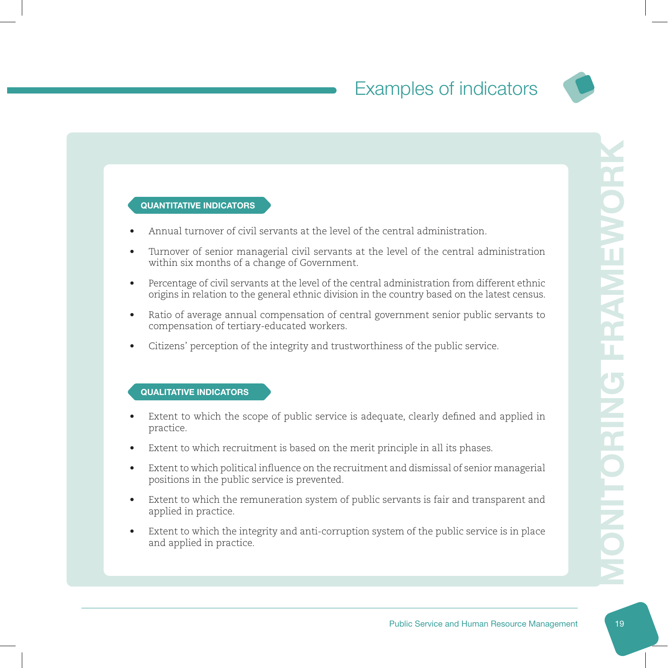

#### QUANTITATIVE INDICATORS

- Annual turnover of civil servants at the level of the central administration.
- Turnover of senior managerial civil servants at the level of the central administration within six months of a change of Government.
- Percentage of civil servants at the level of the central administration from different ethnic origins in relation to the general ethnic division in the country based on the latest census.
- Ratio of average annual compensation of central government senior public servants to compensation of tertiary-educated workers.
- Citizens' perception of the integrity and trustworthiness of the public service.

- Extent to which the scope of public service is adequate, clearly defined and applied in practice.
- Extent to which recruitment is based on the merit principle in all its phases.
- Extent to which political influence on the recruitment and dismissal of senior managerial positions in the public service is prevented.
- Extent to which the remuneration system of public servants is fair and transparent and applied in practice.
- Extent to which the integrity and anti-corruption system of the public service is in place and applied in practice.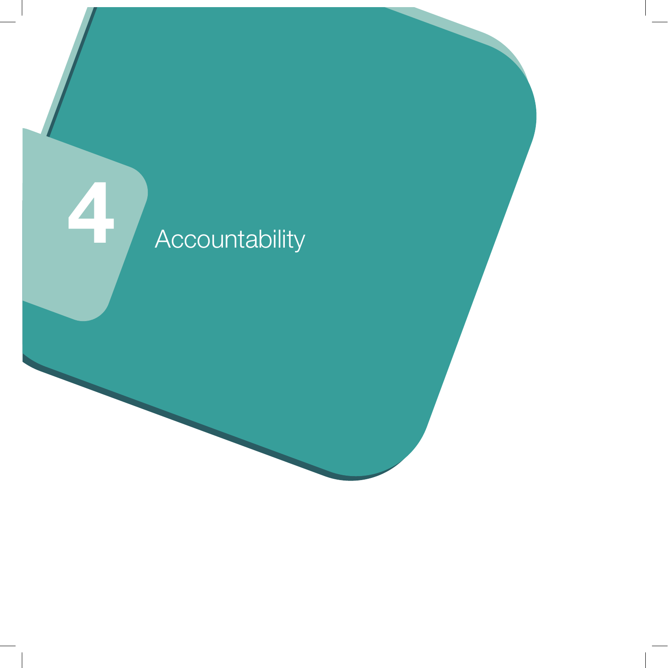# **1 Accountability**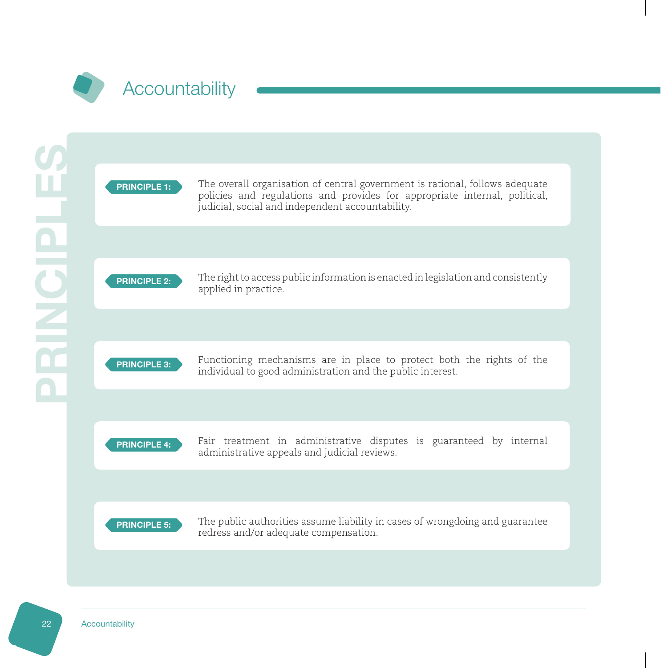<span id="page-18-0"></span>

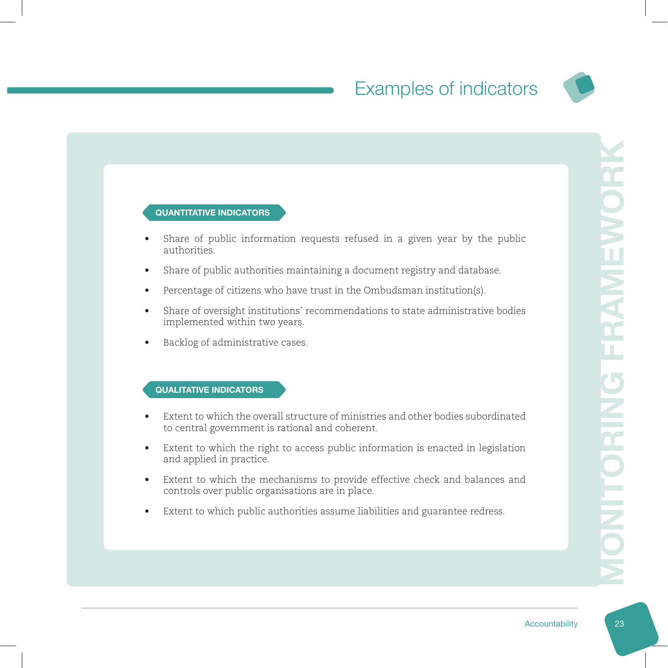

#### QUANTITATIVE INDICATORS

- Share of public information requests refused in a given year by the public authorities.
- Share of public authorities maintaining a document registry and database.
- Percentage of citizens who have trust in the Ombudsman institution(s).
- Share of oversight institutions' recommendations to state administrative bodies implemented within two years.
- Backlog of administrative cases.

- Extent to which the overall structure of ministries and other bodies subordinated to central government is rational and coherent.
- Extent to which the right to access public information is enacted in legislation and applied in practice.
- Extent to which the mechanisms to provide effective check and balances and controls over public organisations are in place.
- Extent to which public authorities assume liabilities and guarantee redress.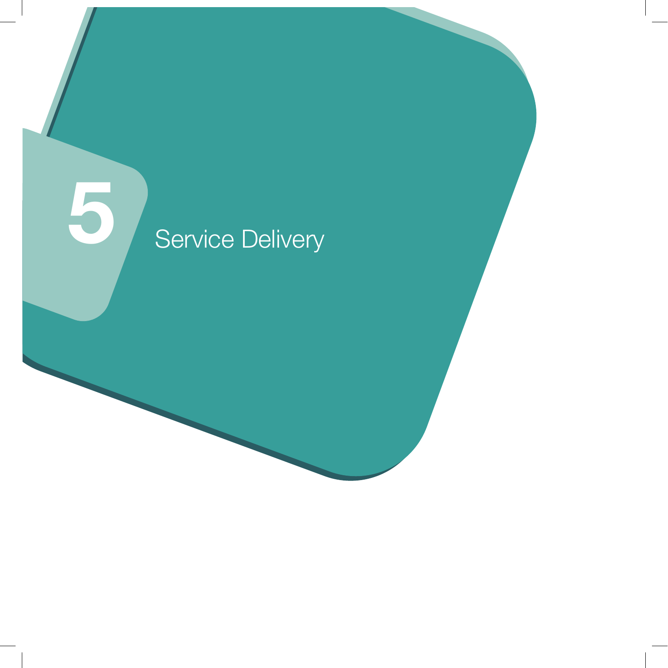# 5 Service Delivery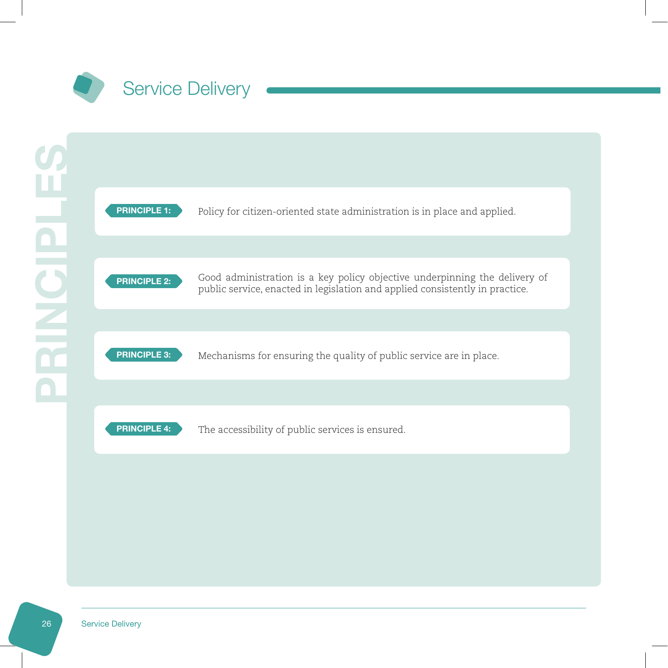<span id="page-21-0"></span>



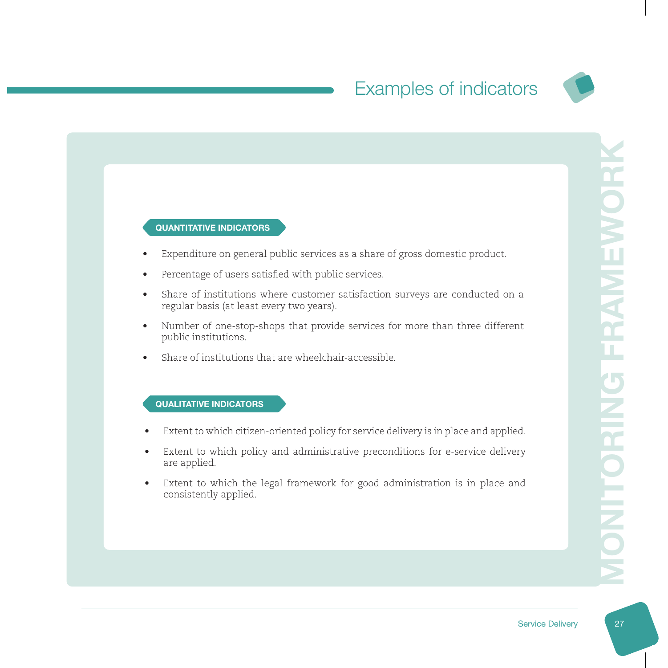

#### QUANTITATIVE INDICATORS

- Expenditure on general public services as a share of gross domestic product.
- Percentage of users satisfied with public services.
- Share of institutions where customer satisfaction surveys are conducted on a regular basis (at least every two years).
- Number of one-stop-shops that provide services for more than three different public institutions.
- Share of institutions that are wheelchair-accessible.

- Extent to which citizen-oriented policy for service delivery is in place and applied.
- Extent to which policy and administrative preconditions for e-service delivery are applied.
- Extent to which the legal framework for good administration is in place and consistently applied.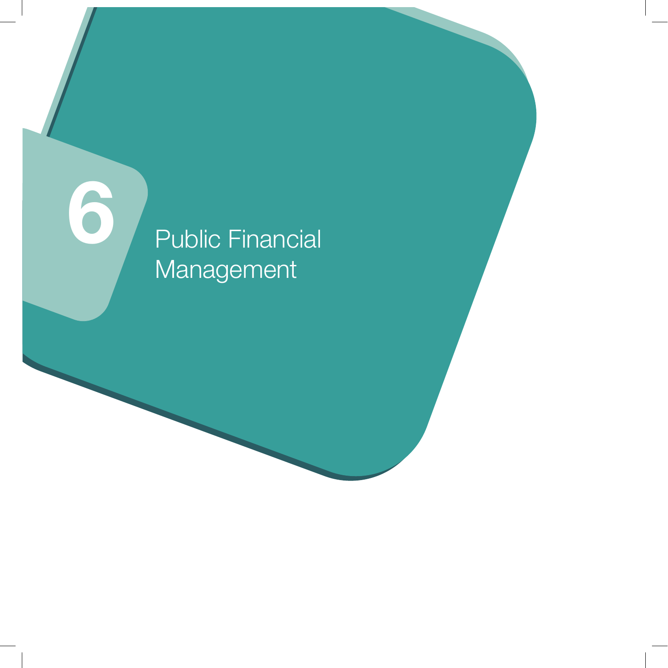# Public Financial Management

6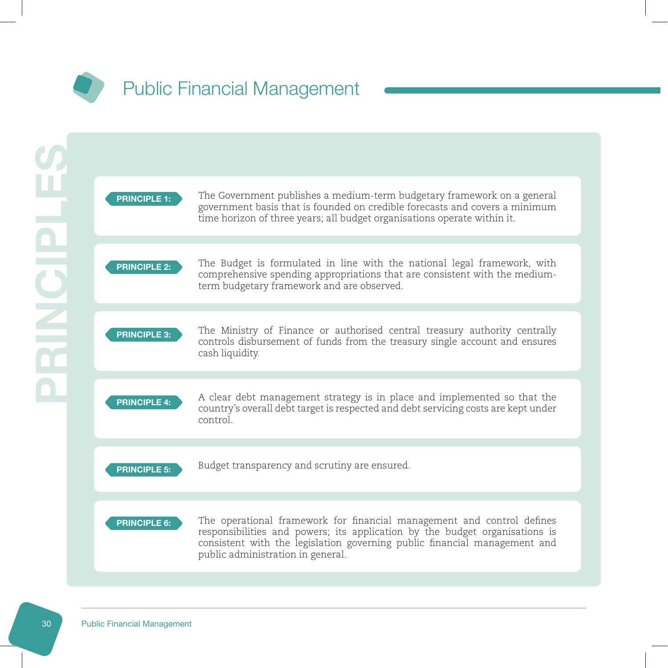<span id="page-24-0"></span>

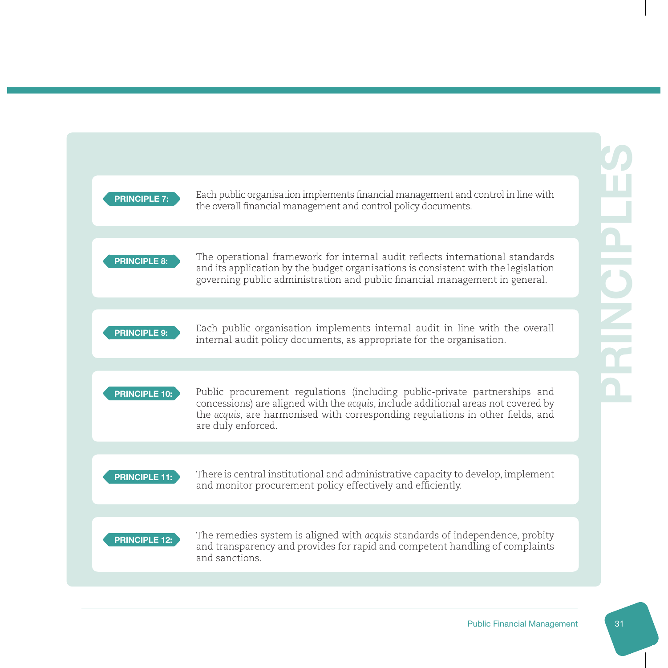| <b>PRINCIPLE 7:</b>  | Each public organisation implements financial management and control in line with<br>the overall financial management and control policy documents.                                                                                                                    |
|----------------------|------------------------------------------------------------------------------------------------------------------------------------------------------------------------------------------------------------------------------------------------------------------------|
|                      |                                                                                                                                                                                                                                                                        |
| <b>PRINCIPLE 8:</b>  | The operational framework for internal audit reflects international standards<br>and its application by the budget organisations is consistent with the legislation<br>governing public administration and public financial management in general.                     |
|                      |                                                                                                                                                                                                                                                                        |
| <b>PRINCIPLE 9:</b>  | Each public organisation implements internal audit in line with the overall<br>internal audit policy documents, as appropriate for the organisation.                                                                                                                   |
|                      |                                                                                                                                                                                                                                                                        |
| <b>PRINCIPLE 10:</b> | Public procurement regulations (including public-private partnerships and<br>concessions) are aligned with the acquis, include additional areas not covered by<br>the acquis, are harmonised with corresponding regulations in other fields, and<br>are duly enforced. |
|                      |                                                                                                                                                                                                                                                                        |
| <b>PRINCIPLE 11:</b> | There is central institutional and administrative capacity to develop, implement<br>and monitor procurement policy effectively and efficiently.                                                                                                                        |
|                      |                                                                                                                                                                                                                                                                        |
| <b>PRINCIPLE 12:</b> | The remedies system is aligned with acquis standards of independence, probity<br>and transparency and provides for rapid and competent handling of complaints<br>and sanctions.                                                                                        |
|                      |                                                                                                                                                                                                                                                                        |
|                      |                                                                                                                                                                                                                                                                        |
|                      | <b>Public Financial Management</b>                                                                                                                                                                                                                                     |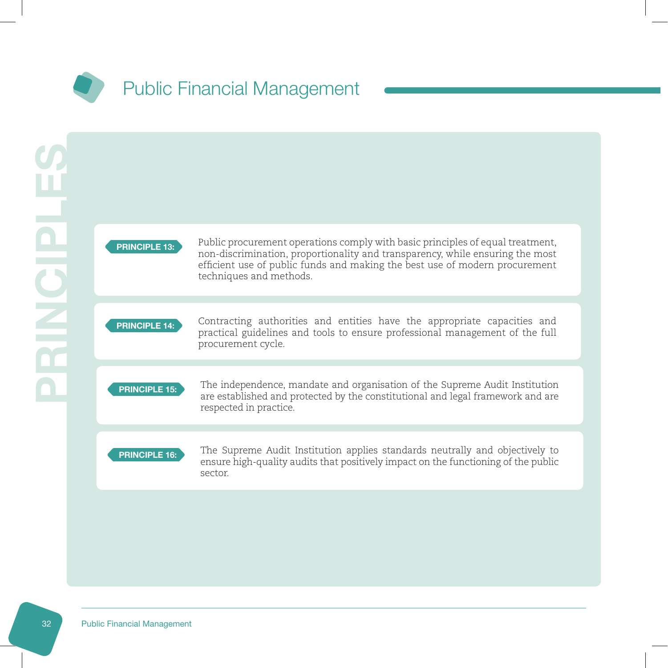



Public procurement operations comply with basic principles of equal treatment, non-discrimination, proportionality and transparency, while ensuring the most efficient use of public funds and making the best use of modern procurement techniques and methods.

PRINCIPLE 14:

Contracting authorities and entities have the appropriate capacities and practical guidelines and tools to ensure professional management of the full procurement cycle.



The independence, mandate and organisation of the Supreme Audit Institution are established and protected by the constitutional and legal framework and are respected in practice.

#### PRINCIPLE 16:

The Supreme Audit Institution applies standards neutrally and objectively to ensure high-quality audits that positively impact on the functioning of the public sector.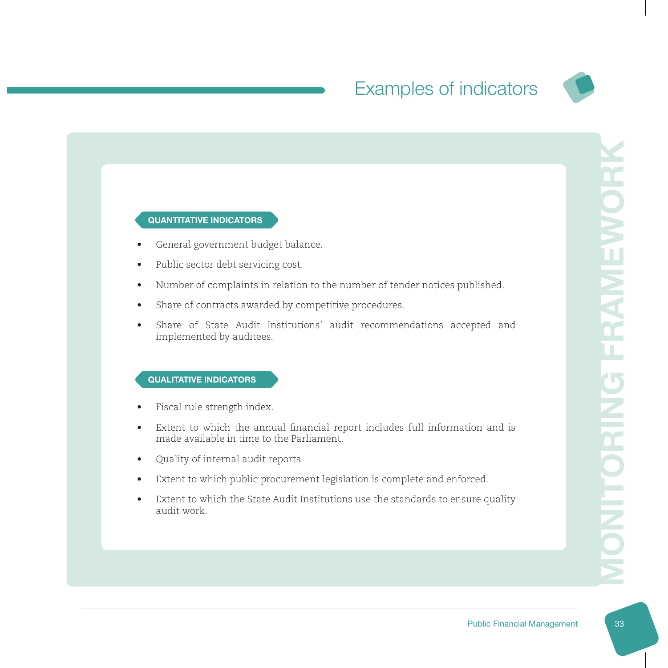

#### QUANTITATIVE INDICATORS

- General government budget balance.
- Public sector debt servicing cost.
- Number of complaints in relation to the number of tender notices published.
- Share of contracts awarded by competitive procedures.
- Share of State Audit Institutions' audit recommendations accepted and implemented by auditees.

- Fiscal rule strength index.
- Extent to which the annual financial report includes full information and is made available in time to the Parliament.
- Quality of internal audit reports.
- Extent to which public procurement legislation is complete and enforced.
- Extent to which the State Audit Institutions use the standards to ensure quality audit work.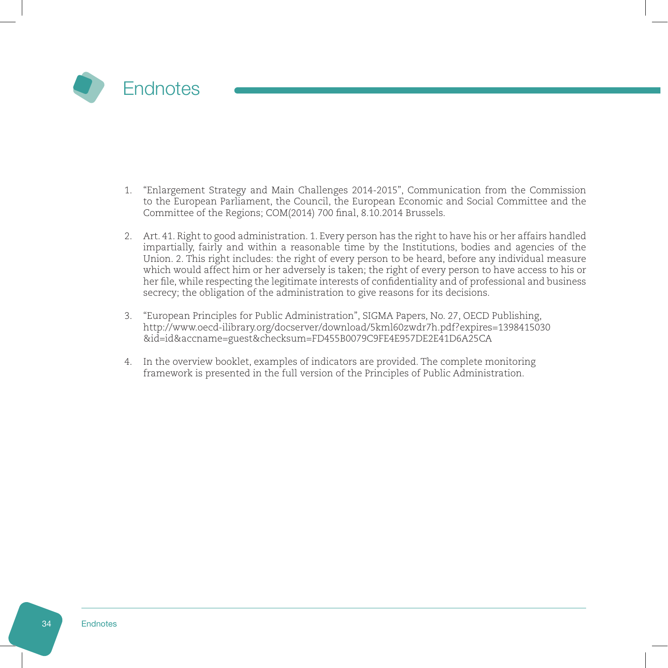<span id="page-28-0"></span>

- 1. "Enlargement Strategy and Main Challenges 2014-2015", Communication from the Commission to the European Parliament, the Council, the European Economic and Social Committee and the Committee of the Regions; COM(2014) 700 final, 8.10.2014 Brussels.
- 2. Art. 41. Right to good administration. 1. Every person has the right to have his or her affairs handled impartially, fairly and within a reasonable time by the Institutions, bodies and agencies of the Union. 2. This right includes: the right of every person to be heard, before any individual measure which would affect him or her adversely is taken; the right of every person to have access to his or her file, while respecting the legitimate interests of confidentiality and of professional and business secrecy; the obligation of the administration to give reasons for its decisions.
- 3. "European Principles for Public Administration", SIGMA Papers, No. 27, OECD Publishing, http://www.oecd-ilibrary.org/docserver/download/5kml60zwdr7h.pdf?expires=1398415030 &id=id&accname=guest&checksum=FD455B0079C9FE4E957DE2E41D6A25CA
- 4. In the overview booklet, examples of indicators are provided. The complete monitoring framework is presented in the full version of the Principles of Public Administration.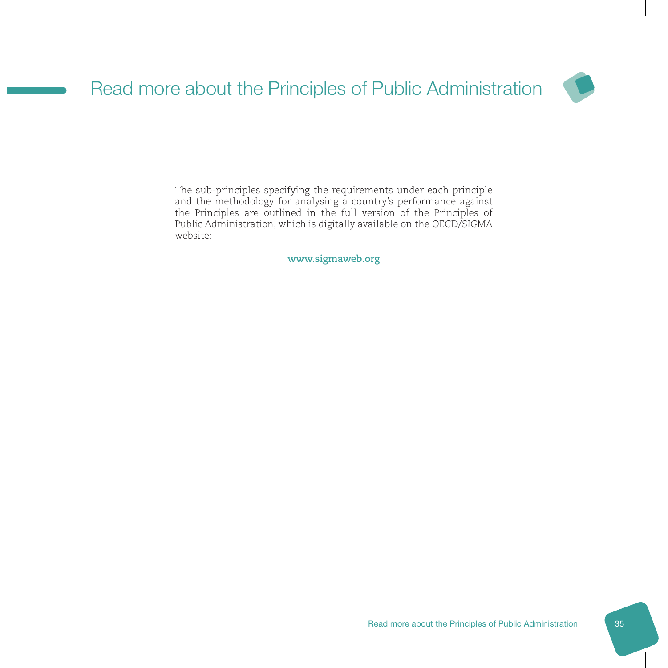<span id="page-29-0"></span>

The sub-principles specifying the requirements under each principle and the methodology for analysing a country's performance against the Principles are outlined in the full version of the Principles of Public Administration, which is digitally available on the OECD/SIGMA website:

**www.sigmaweb.org**